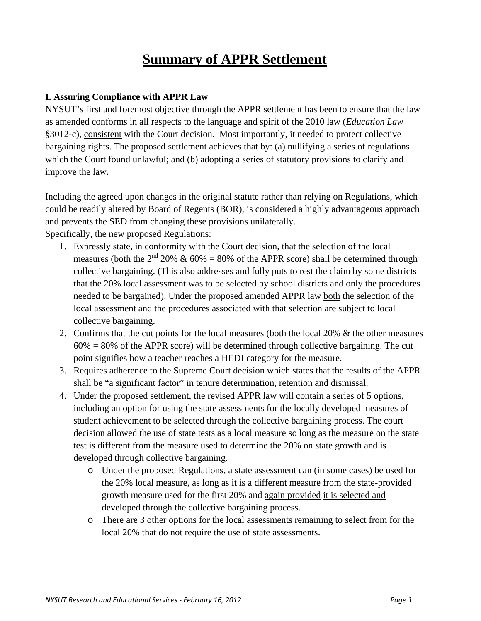## **Summary of APPR Settlement**

## **I. Assuring Compliance with APPR Law**

NYSUT's first and foremost objective through the APPR settlement has been to ensure that the law as amended conforms in all respects to the language and spirit of the 2010 law (*Education Law* §3012-c), consistent with the Court decision. Most importantly, it needed to protect collective bargaining rights. The proposed settlement achieves that by: (a) nullifying a series of regulations which the Court found unlawful; and (b) adopting a series of statutory provisions to clarify and improve the law.

Including the agreed upon changes in the original statute rather than relying on Regulations, which could be readily altered by Board of Regents (BOR), is considered a highly advantageous approach and prevents the SED from changing these provisions unilaterally.

Specifically, the new proposed Regulations:

- 1. Expressly state, in conformity with the Court decision, that the selection of the local measures (both the  $2^{nd}$  20%  $\&$  60% = 80% of the APPR score) shall be determined through collective bargaining. (This also addresses and fully puts to rest the claim by some districts that the 20% local assessment was to be selected by school districts and only the procedures needed to be bargained). Under the proposed amended APPR law both the selection of the local assessment and the procedures associated with that selection are subject to local collective bargaining.
- 2. Confirms that the cut points for the local measures (both the local 20% & the other measures  $60\% = 80\%$  of the APPR score) will be determined through collective bargaining. The cut point signifies how a teacher reaches a HEDI category for the measure.
- 3. Requires adherence to the Supreme Court decision which states that the results of the APPR shall be "a significant factor" in tenure determination, retention and dismissal.
- 4. Under the proposed settlement, the revised APPR law will contain a series of 5 options, including an option for using the state assessments for the locally developed measures of student achievement to be selected through the collective bargaining process. The court decision allowed the use of state tests as a local measure so long as the measure on the state test is different from the measure used to determine the 20% on state growth and is developed through collective bargaining.
	- o Under the proposed Regulations, a state assessment can (in some cases) be used for the 20% local measure, as long as it is a different measure from the state-provided growth measure used for the first 20% and again provided it is selected and developed through the collective bargaining process.
	- o There are 3 other options for the local assessments remaining to select from for the local 20% that do not require the use of state assessments.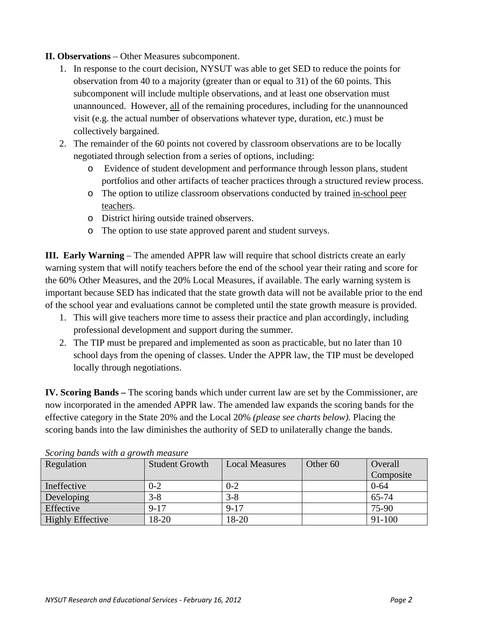## **II. Observations** – Other Measures subcomponent.

- 1. In response to the court decision, NYSUT was able to get SED to reduce the points for observation from 40 to a majority (greater than or equal to 31) of the 60 points. This subcomponent will include multiple observations, and at least one observation must unannounced. However, all of the remaining procedures, including for the unannounced visit (e.g. the actual number of observations whatever type, duration, etc.) must be collectively bargained.
- 2. The remainder of the 60 points not covered by classroom observations are to be locally negotiated through selection from a series of options, including:
	- o Evidence of student development and performance through lesson plans, student portfolios and other artifacts of teacher practices through a structured review process.
	- o The option to utilize classroom observations conducted by trained in-school peer teachers.
	- o District hiring outside trained observers.
	- o The option to use state approved parent and student surveys.

**III. Early Warning** – The amended APPR law will require that school districts create an early warning system that will notify teachers before the end of the school year their rating and score for the 60% Other Measures, and the 20% Local Measures, if available. The early warning system is important because SED has indicated that the state growth data will not be available prior to the end of the school year and evaluations cannot be completed until the state growth measure is provided.

- 1. This will give teachers more time to assess their practice and plan accordingly, including professional development and support during the summer.
- 2. The TIP must be prepared and implemented as soon as practicable, but no later than 10 school days from the opening of classes. Under the APPR law, the TIP must be developed locally through negotiations.

**IV. Scoring Bands –** The scoring bands which under current law are set by the Commissioner, are now incorporated in the amended APPR law. The amended law expands the scoring bands for the effective category in the State 20% and the Local 20% *(please see charts below).* Placing the scoring bands into the law diminishes the authority of SED to unilaterally change the bands.

| Regulation              | <b>Student Growth</b> | <b>Local Measures</b> | Other 60 | Overall   |
|-------------------------|-----------------------|-----------------------|----------|-----------|
|                         |                       |                       |          | Composite |
| Ineffective             | $0 - 2$               | $0 - 2$               |          | $0 - 64$  |
| Developing              | $3 - 8$               | $3 - 8$               |          | 65-74     |
| Effective               | $9 - 17$              | $9 - 17$              |          | 75-90     |
| <b>Highly Effective</b> | 18-20                 | 18-20                 |          | 91-100    |

*Scoring bands with a growth measure*